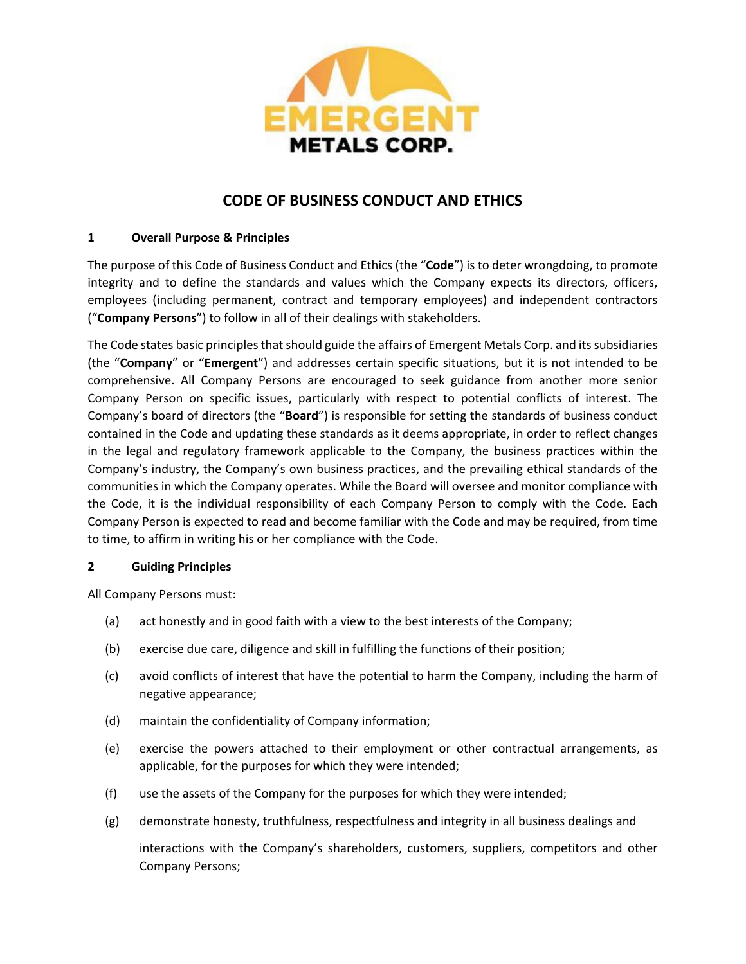

# **CODE OF BUSINESS CONDUCT AND ETHICS**

# **1 Overall Purpose & Principles**

The purpose of this Code of Business Conduct and Ethics (the "**Code**") is to deter wrongdoing, to promote integrity and to define the standards and values which the Company expects its directors, officers, employees (including permanent, contract and temporary employees) and independent contractors ("**Company Persons**") to follow in all of their dealings with stakeholders.

The Code states basic principles that should guide the affairs of Emergent Metals Corp. and its subsidiaries (the "**Company**" or "**Emergent**") and addresses certain specific situations, but it is not intended to be comprehensive. All Company Persons are encouraged to seek guidance from another more senior Company Person on specific issues, particularly with respect to potential conflicts of interest. The Company's board of directors (the "**Board**") is responsible for setting the standards of business conduct contained in the Code and updating these standards as it deems appropriate, in order to reflect changes in the legal and regulatory framework applicable to the Company, the business practices within the Company's industry, the Company's own business practices, and the prevailing ethical standards of the communities in which the Company operates. While the Board will oversee and monitor compliance with the Code, it is the individual responsibility of each Company Person to comply with the Code. Each Company Person is expected to read and become familiar with the Code and may be required, from time to time, to affirm in writing his or her compliance with the Code.

## **2 Guiding Principles**

All Company Persons must:

- (a) act honestly and in good faith with a view to the best interests of the Company;
- (b) exercise due care, diligence and skill in fulfilling the functions of their position;
- (c) avoid conflicts of interest that have the potential to harm the Company, including the harm of negative appearance;
- (d) maintain the confidentiality of Company information;
- (e) exercise the powers attached to their employment or other contractual arrangements, as applicable, for the purposes for which they were intended;
- (f) use the assets of the Company for the purposes for which they were intended;
- (g) demonstrate honesty, truthfulness, respectfulness and integrity in all business dealings and

interactions with the Company's shareholders, customers, suppliers, competitors and other Company Persons;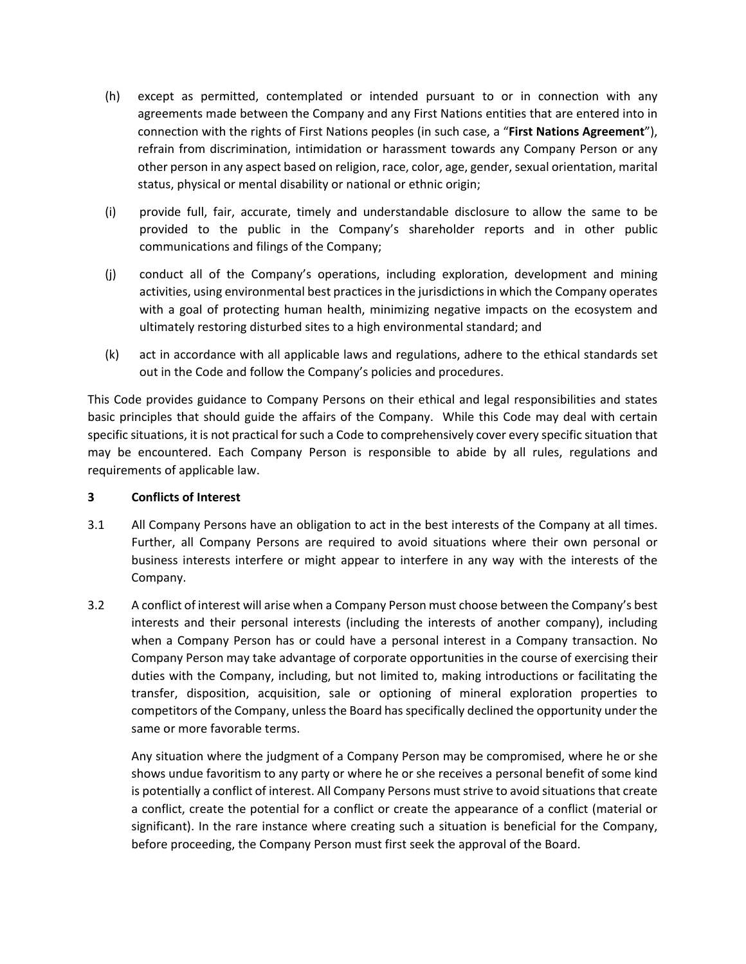- (h) except as permitted, contemplated or intended pursuant to or in connection with any agreements made between the Company and any First Nations entities that are entered into in connection with the rights of First Nations peoples (in such case, a "**First Nations Agreement**"), refrain from discrimination, intimidation or harassment towards any Company Person or any other person in any aspect based on religion, race, color, age, gender, sexual orientation, marital status, physical or mental disability or national or ethnic origin;
- (i) provide full, fair, accurate, timely and understandable disclosure to allow the same to be provided to the public in the Company's shareholder reports and in other public communications and filings of the Company;
- (j) conduct all of the Company's operations, including exploration, development and mining activities, using environmental best practices in the jurisdictions in which the Company operates with a goal of protecting human health, minimizing negative impacts on the ecosystem and ultimately restoring disturbed sites to a high environmental standard; and
- (k) act in accordance with all applicable laws and regulations, adhere to the ethical standards set out in the Code and follow the Company's policies and procedures.

This Code provides guidance to Company Persons on their ethical and legal responsibilities and states basic principles that should guide the affairs of the Company. While this Code may deal with certain specific situations, it is not practical for such a Code to comprehensively cover every specific situation that may be encountered. Each Company Person is responsible to abide by all rules, regulations and requirements of applicable law.

## **3 Conflicts of Interest**

- 3.1 All Company Persons have an obligation to act in the best interests of the Company at all times. Further, all Company Persons are required to avoid situations where their own personal or business interests interfere or might appear to interfere in any way with the interests of the Company.
- 3.2 A conflict of interest will arise when a Company Person must choose between the Company's best interests and their personal interests (including the interests of another company), including when a Company Person has or could have a personal interest in a Company transaction. No Company Person may take advantage of corporate opportunities in the course of exercising their duties with the Company, including, but not limited to, making introductions or facilitating the transfer, disposition, acquisition, sale or optioning of mineral exploration properties to competitors of the Company, unless the Board has specifically declined the opportunity under the same or more favorable terms.

Any situation where the judgment of a Company Person may be compromised, where he or she shows undue favoritism to any party or where he or she receives a personal benefit of some kind is potentially a conflict of interest. All Company Persons must strive to avoid situations that create a conflict, create the potential for a conflict or create the appearance of a conflict (material or significant). In the rare instance where creating such a situation is beneficial for the Company, before proceeding, the Company Person must first seek the approval of the Board.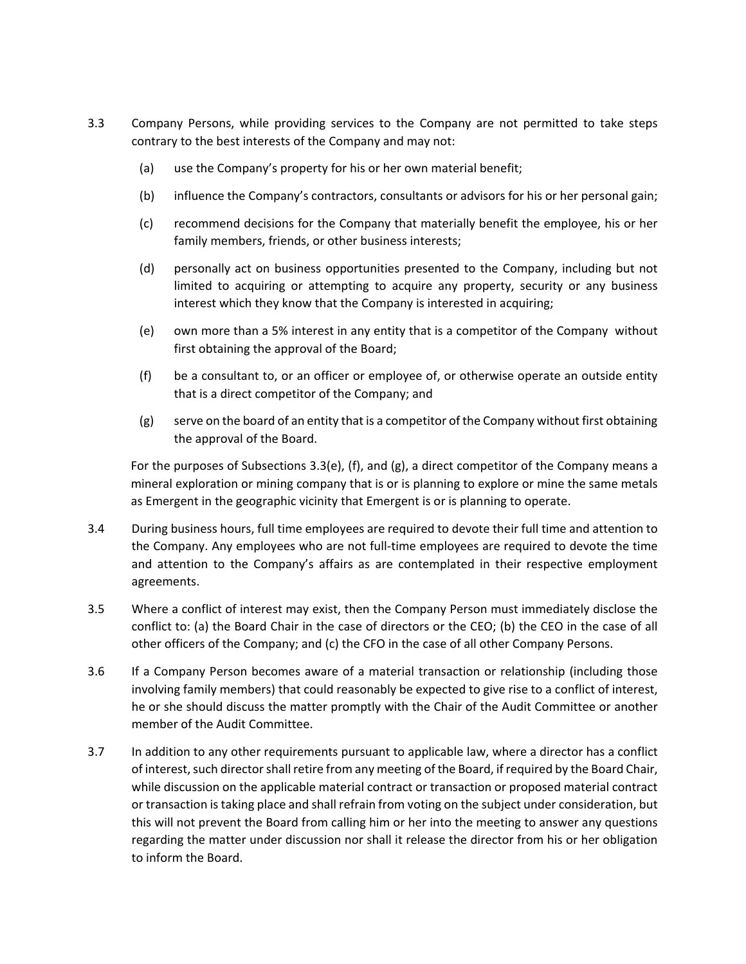- 3.3 Company Persons, while providing services to the Company are not permitted to take steps contrary to the best interests of the Company and may not:
	- (a) use the Company's property for his or her own material benefit;
	- (b) influence the Company's contractors, consultants or advisors for his or her personal gain;
	- (c) recommend decisions for the Company that materially benefit the employee, his or her family members, friends, or other business interests;
	- (d) personally act on business opportunities presented to the Company, including but not limited to acquiring or attempting to acquire any property, security or any business interest which they know that the Company is interested in acquiring;
	- (e) own more than a 5% interest in any entity that is a competitor of the Company without first obtaining the approval of the Board;
	- (f) be a consultant to, or an officer or employee of, or otherwise operate an outside entity that is a direct competitor of the Company; and
	- (g) serve on the board of an entity that is a competitor of the Company without first obtaining the approval of the Board.

For the purposes of Subsections 3.3(e), (f), and (g), a direct competitor of the Company means a mineral exploration or mining company that is or is planning to explore or mine the same metals as Emergent in the geographic vicinity that Emergent is or is planning to operate.

- 3.4 During business hours, full time employees are required to devote their full time and attention to the Company. Any employees who are not full-time employees are required to devote the time and attention to the Company's affairs as are contemplated in their respective employment agreements.
- 3.5 Where a conflict of interest may exist, then the Company Person must immediately disclose the conflict to: (a) the Board Chair in the case of directors or the CEO; (b) the CEO in the case of all other officers of the Company; and (c) the CFO in the case of all other Company Persons.
- 3.6 If a Company Person becomes aware of a material transaction or relationship (including those involving family members) that could reasonably be expected to give rise to a conflict of interest, he or she should discuss the matter promptly with the Chair of the Audit Committee or another member of the Audit Committee.
- 3.7 In addition to any other requirements pursuant to applicable law, where a director has a conflict of interest, such director shall retire from any meeting of the Board, if required by the Board Chair, while discussion on the applicable material contract or transaction or proposed material contract or transaction is taking place and shall refrain from voting on the subject under consideration, but this will not prevent the Board from calling him or her into the meeting to answer any questions regarding the matter under discussion nor shall it release the director from his or her obligation to inform the Board.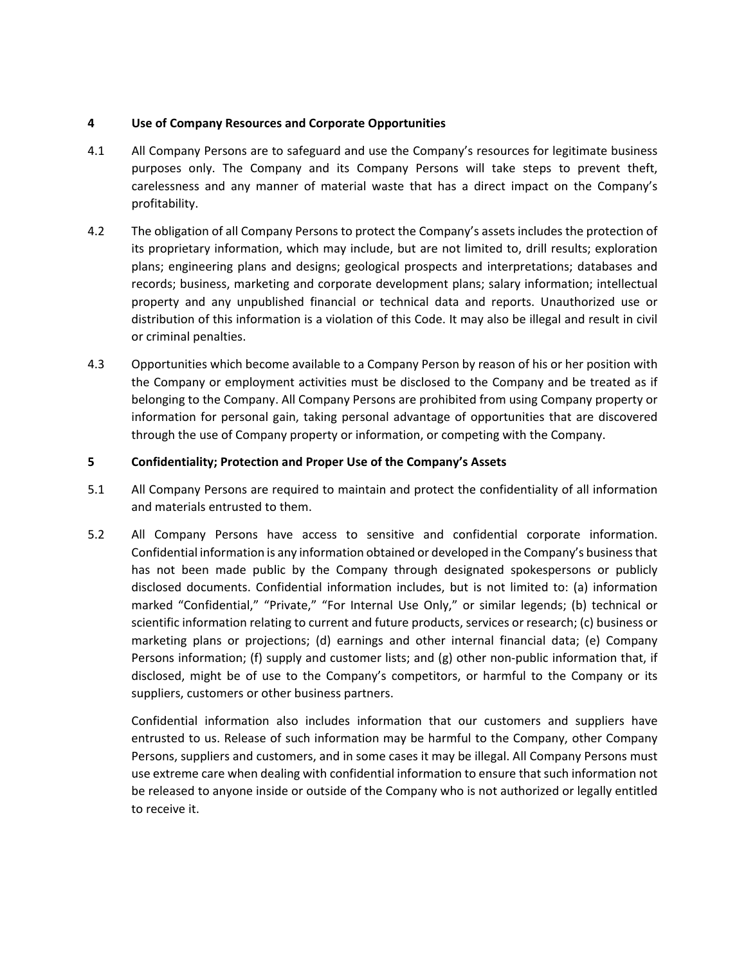#### **4 Use of Company Resources and Corporate Opportunities**

- 4.1 All Company Persons are to safeguard and use the Company's resources for legitimate business purposes only. The Company and its Company Persons will take steps to prevent theft, carelessness and any manner of material waste that has a direct impact on the Company's profitability.
- 4.2 The obligation of all Company Persons to protect the Company's assets includes the protection of its proprietary information, which may include, but are not limited to, drill results; exploration plans; engineering plans and designs; geological prospects and interpretations; databases and records; business, marketing and corporate development plans; salary information; intellectual property and any unpublished financial or technical data and reports. Unauthorized use or distribution of this information is a violation of this Code. It may also be illegal and result in civil or criminal penalties.
- 4.3 Opportunities which become available to a Company Person by reason of his or her position with the Company or employment activities must be disclosed to the Company and be treated as if belonging to the Company. All Company Persons are prohibited from using Company property or information for personal gain, taking personal advantage of opportunities that are discovered through the use of Company property or information, or competing with the Company.

## **5 Confidentiality; Protection and Proper Use of the Company's Assets**

- 5.1 All Company Persons are required to maintain and protect the confidentiality of all information and materials entrusted to them.
- 5.2 All Company Persons have access to sensitive and confidential corporate information. Confidential information is any information obtained or developed in the Company's business that has not been made public by the Company through designated spokespersons or publicly disclosed documents. Confidential information includes, but is not limited to: (a) information marked "Confidential," "Private," "For Internal Use Only," or similar legends; (b) technical or scientific information relating to current and future products, services or research; (c) business or marketing plans or projections; (d) earnings and other internal financial data; (e) Company Persons information; (f) supply and customer lists; and (g) other non-public information that, if disclosed, might be of use to the Company's competitors, or harmful to the Company or its suppliers, customers or other business partners.

Confidential information also includes information that our customers and suppliers have entrusted to us. Release of such information may be harmful to the Company, other Company Persons, suppliers and customers, and in some cases it may be illegal. All Company Persons must use extreme care when dealing with confidential information to ensure that such information not be released to anyone inside or outside of the Company who is not authorized or legally entitled to receive it.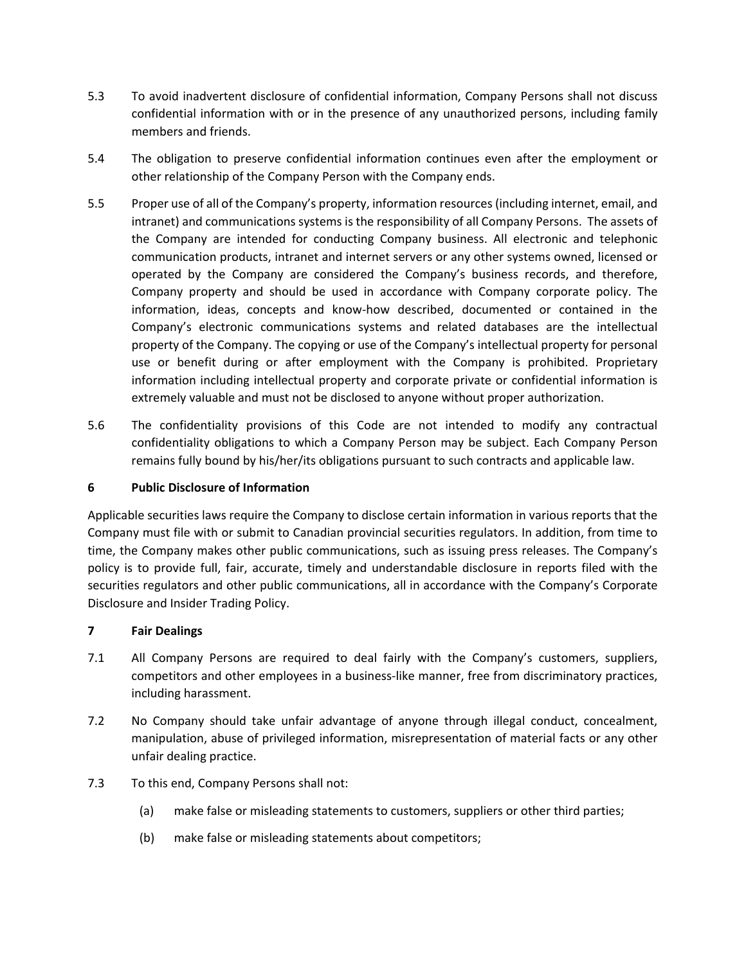- 5.3 To avoid inadvertent disclosure of confidential information, Company Persons shall not discuss confidential information with or in the presence of any unauthorized persons, including family members and friends.
- 5.4 The obligation to preserve confidential information continues even after the employment or other relationship of the Company Person with the Company ends.
- 5.5 Proper use of all of the Company's property, information resources (including internet, email, and intranet) and communications systems is the responsibility of all Company Persons. The assets of the Company are intended for conducting Company business. All electronic and telephonic communication products, intranet and internet servers or any other systems owned, licensed or operated by the Company are considered the Company's business records, and therefore, Company property and should be used in accordance with Company corporate policy. The information, ideas, concepts and know-how described, documented or contained in the Company's electronic communications systems and related databases are the intellectual property of the Company. The copying or use of the Company's intellectual property for personal use or benefit during or after employment with the Company is prohibited. Proprietary information including intellectual property and corporate private or confidential information is extremely valuable and must not be disclosed to anyone without proper authorization.
- 5.6 The confidentiality provisions of this Code are not intended to modify any contractual confidentiality obligations to which a Company Person may be subject. Each Company Person remains fully bound by his/her/its obligations pursuant to such contracts and applicable law.

## **6 Public Disclosure of Information**

Applicable securities laws require the Company to disclose certain information in various reports that the Company must file with or submit to Canadian provincial securities regulators. In addition, from time to time, the Company makes other public communications, such as issuing press releases. The Company's policy is to provide full, fair, accurate, timely and understandable disclosure in reports filed with the securities regulators and other public communications, all in accordance with the Company's Corporate Disclosure and Insider Trading Policy.

## **7 Fair Dealings**

- 7.1 All Company Persons are required to deal fairly with the Company's customers, suppliers, competitors and other employees in a business-like manner, free from discriminatory practices, including harassment.
- 7.2 No Company should take unfair advantage of anyone through illegal conduct, concealment, manipulation, abuse of privileged information, misrepresentation of material facts or any other unfair dealing practice.
- 7.3 To this end, Company Persons shall not:
	- (a) make false or misleading statements to customers, suppliers or other third parties;
	- (b) make false or misleading statements about competitors;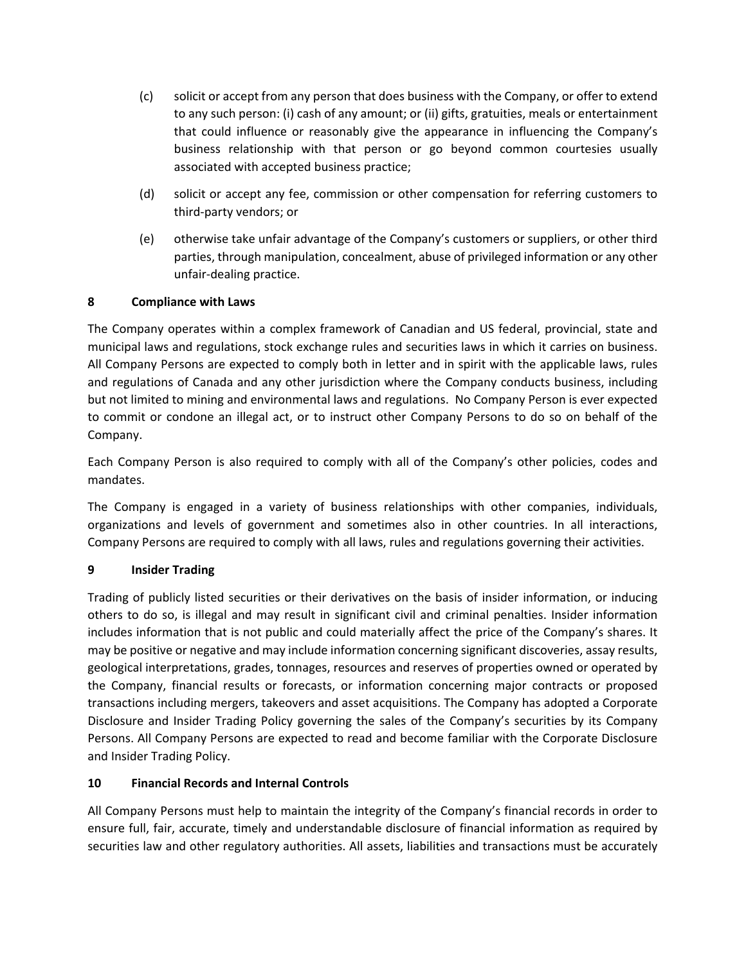- (c) solicit or accept from any person that does business with the Company, or offer to extend to any such person: (i) cash of any amount; or (ii) gifts, gratuities, meals or entertainment that could influence or reasonably give the appearance in influencing the Company's business relationship with that person or go beyond common courtesies usually associated with accepted business practice;
- (d) solicit or accept any fee, commission or other compensation for referring customers to third-party vendors; or
- (e) otherwise take unfair advantage of the Company's customers or suppliers, or other third parties, through manipulation, concealment, abuse of privileged information or any other unfair-dealing practice.

# **8 Compliance with Laws**

The Company operates within a complex framework of Canadian and US federal, provincial, state and municipal laws and regulations, stock exchange rules and securities laws in which it carries on business. All Company Persons are expected to comply both in letter and in spirit with the applicable laws, rules and regulations of Canada and any other jurisdiction where the Company conducts business, including but not limited to mining and environmental laws and regulations. No Company Person is ever expected to commit or condone an illegal act, or to instruct other Company Persons to do so on behalf of the Company.

Each Company Person is also required to comply with all of the Company's other policies, codes and mandates.

The Company is engaged in a variety of business relationships with other companies, individuals, organizations and levels of government and sometimes also in other countries. In all interactions, Company Persons are required to comply with all laws, rules and regulations governing their activities.

# **9 Insider Trading**

Trading of publicly listed securities or their derivatives on the basis of insider information, or inducing others to do so, is illegal and may result in significant civil and criminal penalties. Insider information includes information that is not public and could materially affect the price of the Company's shares. It may be positive or negative and may include information concerning significant discoveries, assay results, geological interpretations, grades, tonnages, resources and reserves of properties owned or operated by the Company, financial results or forecasts, or information concerning major contracts or proposed transactions including mergers, takeovers and asset acquisitions. The Company has adopted a Corporate Disclosure and Insider Trading Policy governing the sales of the Company's securities by its Company Persons. All Company Persons are expected to read and become familiar with the Corporate Disclosure and Insider Trading Policy.

## **10 Financial Records and Internal Controls**

All Company Persons must help to maintain the integrity of the Company's financial records in order to ensure full, fair, accurate, timely and understandable disclosure of financial information as required by securities law and other regulatory authorities. All assets, liabilities and transactions must be accurately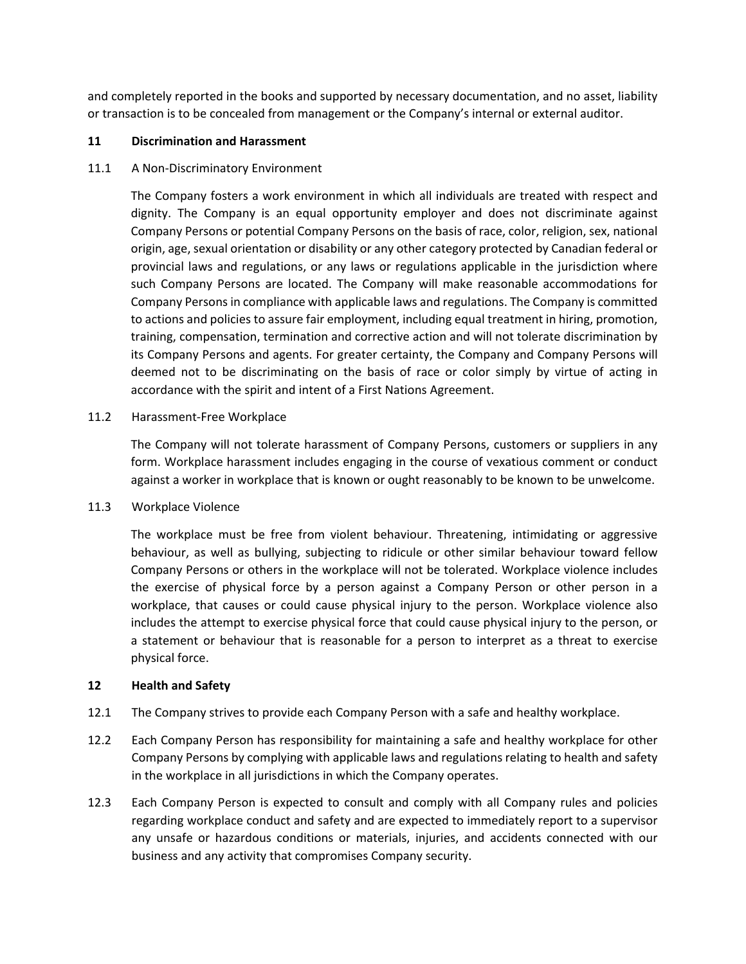and completely reported in the books and supported by necessary documentation, and no asset, liability or transaction is to be concealed from management or the Company's internal or external auditor.

#### **11 Discrimination and Harassment**

#### 11.1 A Non-Discriminatory Environment

The Company fosters a work environment in which all individuals are treated with respect and dignity. The Company is an equal opportunity employer and does not discriminate against Company Persons or potential Company Persons on the basis of race, color, religion, sex, national origin, age, sexual orientation or disability or any other category protected by Canadian federal or provincial laws and regulations, or any laws or regulations applicable in the jurisdiction where such Company Persons are located. The Company will make reasonable accommodations for Company Persons in compliance with applicable laws and regulations. The Company is committed to actions and policies to assure fair employment, including equal treatment in hiring, promotion, training, compensation, termination and corrective action and will not tolerate discrimination by its Company Persons and agents. For greater certainty, the Company and Company Persons will deemed not to be discriminating on the basis of race or color simply by virtue of acting in accordance with the spirit and intent of a First Nations Agreement.

#### 11.2 Harassment-Free Workplace

The Company will not tolerate harassment of Company Persons, customers or suppliers in any form. Workplace harassment includes engaging in the course of vexatious comment or conduct against a worker in workplace that is known or ought reasonably to be known to be unwelcome.

#### 11.3 Workplace Violence

The workplace must be free from violent behaviour. Threatening, intimidating or aggressive behaviour, as well as bullying, subjecting to ridicule or other similar behaviour toward fellow Company Persons or others in the workplace will not be tolerated. Workplace violence includes the exercise of physical force by a person against a Company Person or other person in a workplace, that causes or could cause physical injury to the person. Workplace violence also includes the attempt to exercise physical force that could cause physical injury to the person, or a statement or behaviour that is reasonable for a person to interpret as a threat to exercise physical force.

#### **12 Health and Safety**

- 12.1 The Company strives to provide each Company Person with a safe and healthy workplace.
- 12.2 Each Company Person has responsibility for maintaining a safe and healthy workplace for other Company Persons by complying with applicable laws and regulations relating to health and safety in the workplace in all jurisdictions in which the Company operates.
- 12.3 Each Company Person is expected to consult and comply with all Company rules and policies regarding workplace conduct and safety and are expected to immediately report to a supervisor any unsafe or hazardous conditions or materials, injuries, and accidents connected with our business and any activity that compromises Company security.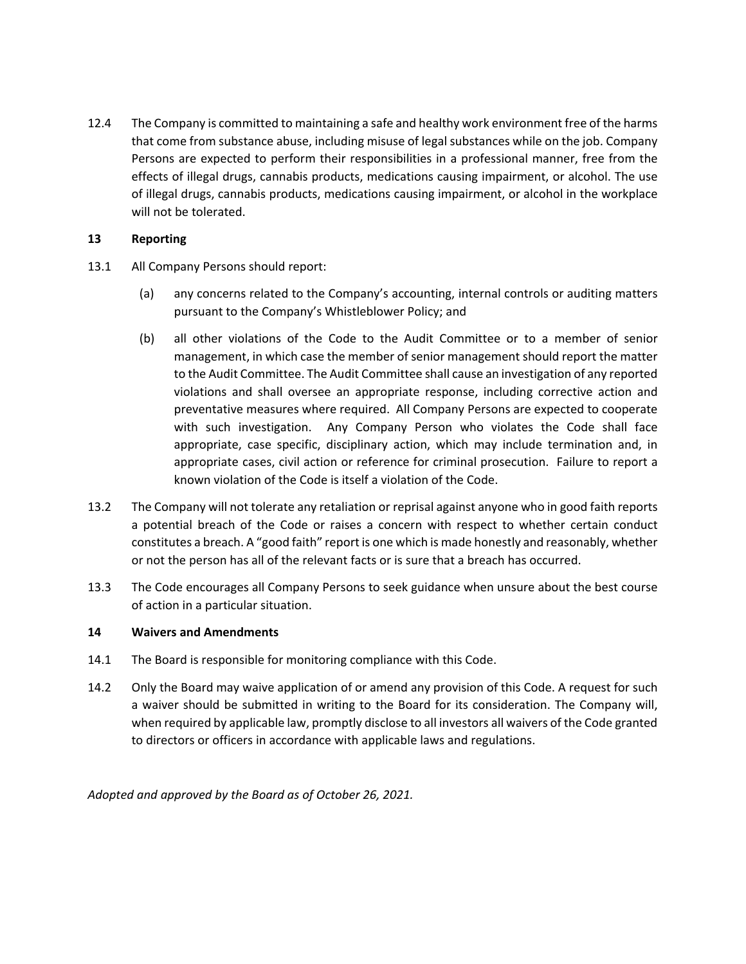12.4 The Company is committed to maintaining a safe and healthy work environment free of the harms that come from substance abuse, including misuse of legal substances while on the job. Company Persons are expected to perform their responsibilities in a professional manner, free from the effects of illegal drugs, cannabis products, medications causing impairment, or alcohol. The use of illegal drugs, cannabis products, medications causing impairment, or alcohol in the workplace will not be tolerated.

#### **13 Reporting**

- 13.1 All Company Persons should report:
	- (a) any concerns related to the Company's accounting, internal controls or auditing matters pursuant to the Company's Whistleblower Policy; and
	- (b) all other violations of the Code to the Audit Committee or to a member of senior management, in which case the member of senior management should report the matter to the Audit Committee. The Audit Committee shall cause an investigation of any reported violations and shall oversee an appropriate response, including corrective action and preventative measures where required. All Company Persons are expected to cooperate with such investigation. Any Company Person who violates the Code shall face appropriate, case specific, disciplinary action, which may include termination and, in appropriate cases, civil action or reference for criminal prosecution. Failure to report a known violation of the Code is itself a violation of the Code.
- 13.2 The Company will not tolerate any retaliation or reprisal against anyone who in good faith reports a potential breach of the Code or raises a concern with respect to whether certain conduct constitutes a breach. A "good faith" report is one which is made honestly and reasonably, whether or not the person has all of the relevant facts or is sure that a breach has occurred.
- 13.3 The Code encourages all Company Persons to seek guidance when unsure about the best course of action in a particular situation.

## **14 Waivers and Amendments**

- 14.1 The Board is responsible for monitoring compliance with this Code.
- 14.2 Only the Board may waive application of or amend any provision of this Code. A request for such a waiver should be submitted in writing to the Board for its consideration. The Company will, when required by applicable law, promptly disclose to all investors all waivers of the Code granted to directors or officers in accordance with applicable laws and regulations.

*Adopted and approved by the Board as of October 26, 2021.*